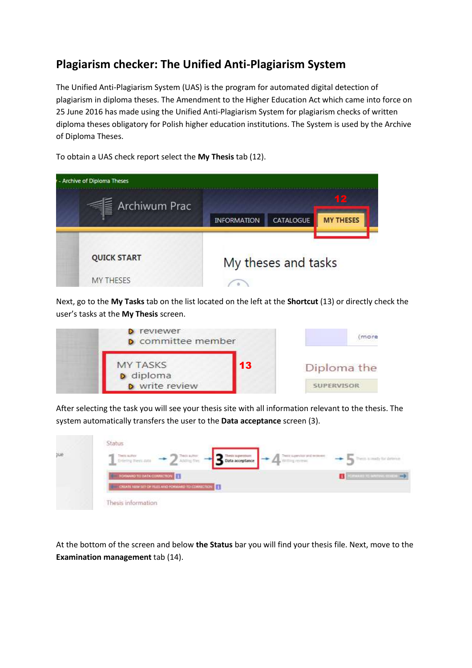# **Plagiarism checker: The Unified Anti-Plagiarism System**

The Unified Anti-Plagiarism System (UAS) is the program for automated digital detection of plagiarism in diploma theses. The Amendment to the Higher Education Act which came into force on 25 June 2016 has made using the Unified Anti-Plagiarism System for plagiarism checks of written diploma theses obligatory for Polish higher education institutions. The System is used by the Archive of Diploma Theses.



To obtain a UAS check report select the **My Thesis** tab (12).

Next, go to the **My Tasks** tab on the list located on the left at the **Shortcut** (13) or directly check the user's tasks at the **My Thesis** screen.

| reviewer<br><b>D</b> committee member |    | mare              |
|---------------------------------------|----|-------------------|
| <b>MY TASKS</b><br>diploma            | 13 | Diploma the       |
| write review                          |    | <b>SUPERVISOR</b> |

After selecting the task you will see your thesis site with all information relevant to the thesis. The system automatically transfers the user to the **Data acceptance** screen (3).

|     | Status                                                                                                                                                                                                                         |  |
|-----|--------------------------------------------------------------------------------------------------------------------------------------------------------------------------------------------------------------------------------|--|
| tie | $\left\{\begin{array}{l} \text{Neometric} \\ \text{Dierlying free} \end{array}\right. \longrightarrow \left\{\begin{array}{l} \text{Neometric} \\ \text{AdS} \end{array}\right.$<br>3 Data acceptance<br>$\Delta$ with the set |  |
|     | <b>TORWARD TO DATA COMMUNION TT</b>                                                                                                                                                                                            |  |
|     | CIUATE NEW SET OF REES AND FORWARD TO CORRECTION E                                                                                                                                                                             |  |
|     | Thesis information                                                                                                                                                                                                             |  |

At the bottom of the screen and below **the Status** bar you will find your thesis file. Next, move to the **Examination management** tab (14).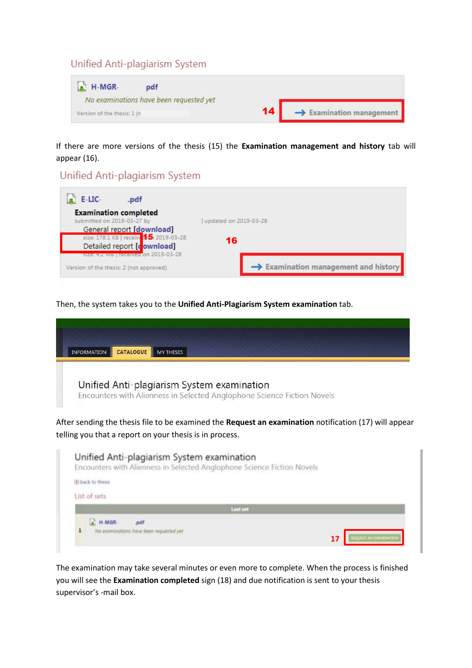#### Unified Anti-plagiarism System

| $\bullet$ H-MGR-<br>pdf                                                |    |                                      |
|------------------------------------------------------------------------|----|--------------------------------------|
| No examinations have been requested yet<br>Version of the thesis: 1 (n | 14 | $\rightarrow$ Examination management |

If there are more versions of the thesis (15) the **Examination management and history** tab will appear (16).

### Unified Anti-plagiarism System

| E-LIC-<br>.pdf                          |                                                  |  |
|-----------------------------------------|--------------------------------------------------|--|
| <b>Examination completed</b>            |                                                  |  |
| submitted on 2019-03-27 by              | updated on 2019-03-28                            |  |
| General report [download]               |                                                  |  |
| size: 178.1 KB   receive 15 2019-03-28  | 16                                               |  |
| Detailed report [cownload]              |                                                  |  |
| size: 4.2 MB   received on 2019-03-28   |                                                  |  |
| Version of the thesis: 2 (not approved) | $\rightarrow$ Examination management and history |  |

Then, the system takes you to the **Unified Anti-Plagiarism System examination** tab.

| <b>INFORMATION</b> | CATALOGUE | <b>MY THESES</b>                                                        |  |  |  |
|--------------------|-----------|-------------------------------------------------------------------------|--|--|--|
|                    |           | Unified Anti-plagiarism System examination                              |  |  |  |
|                    |           | Encounters with Alienness in Selected Anglophone Science Fiction Novels |  |  |  |

After sending the thesis file to be examined the **Request an examination** notification (17) will appear telling you that a report on your thesis is in process.

| Unified Anti-plagiarism System examination<br>Encounters with Alienness in Selected Anglophone Science Fiction Novels |                       |
|-----------------------------------------------------------------------------------------------------------------------|-----------------------|
| (#) back to thesis                                                                                                    |                       |
| List of sets                                                                                                          |                       |
| Last set                                                                                                              |                       |
| 1<br>Na examinations have been requested yet                                                                          | 17<br>AND EXAMINATION |

The examination may take several minutes or even more to complete. When the process is finished you will see the **Examination completed** sign (18) and due notification is sent to your thesis supervisor's -mail box.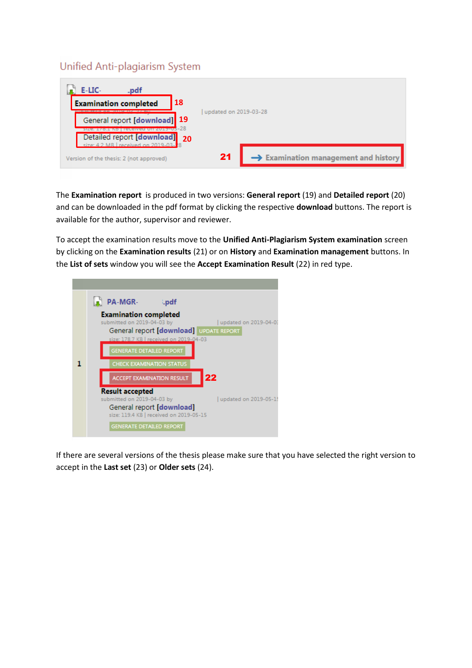## Unified Anti-plagiarism System



The **Examination report** is produced in two versions: **General report** (19) and **Detailed report** (20) and can be downloaded in the pdf format by clicking the respective **download** buttons. The report is available for the author, supervisor and reviewer.

To accept the examination results move to the **Unified Anti-Plagiarism System examination** screen by clicking on the **Examination results** (21) or on **History** and **Examination management** buttons. In the **List of sets** window you will see the **Accept Examination Result** (22) in red type.



If there are several versions of the thesis please make sure that you have selected the right version to accept in the **Last set** (23) or **Older sets** (24).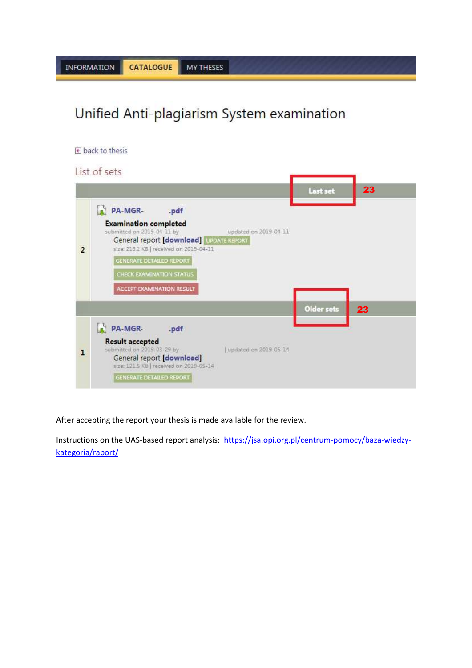# Unified Anti-plagiarism System examination



#### List of sets



After accepting the report your thesis is made available for the review.

Instructions on the UAS-based report analysis: [https://jsa.opi.org.pl/centrum-pomocy/baza-wiedzy](https://jsa.opi.org.pl/centrum-pomocy/baza-wiedzy-kategoria/raport/)[kategoria/raport/](https://jsa.opi.org.pl/centrum-pomocy/baza-wiedzy-kategoria/raport/)